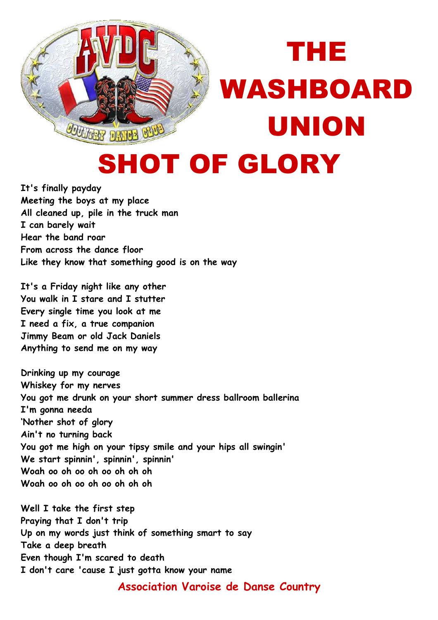

## THE WASHBOARD UNION SHOT OF GLORY

**It's finally payday Meeting the boys at my place All cleaned up, pile in the truck man I can barely wait Hear the band roar From across the dance floor Like they know that something good is on the way** 

**It's a Friday night like any other You walk in I stare and I stutter Every single time you look at me I need a fix, a true companion Jimmy Beam or old Jack Daniels Anything to send me on my way** 

**Drinking up my courage Whiskey for my nerves You got me drunk on your short summer dress ballroom ballerina I'm gonna needa 'Nother shot of glory Ain't no turning back You got me high on your tipsy smile and your hips all swingin' We start spinnin', spinnin', spinnin' Woah oo oh oo oh oo oh oh oh Woah oo oh oo oh oo oh oh oh** 

**Well I take the first step Praying that I don't trip Up on my words just think of something smart to say Take a deep breath Even though I'm scared to death I don't care 'cause I just gotta know your name** 

**Association Varoise de Danse Country**